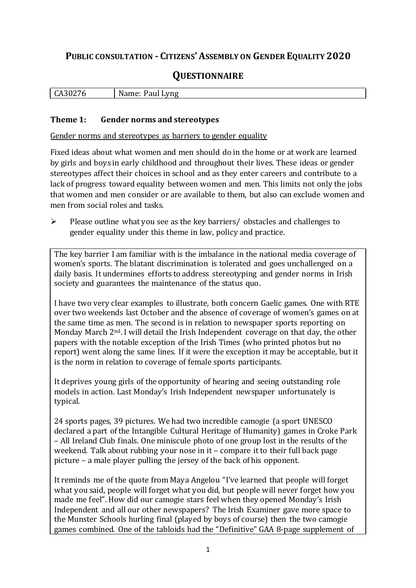# **PUBLIC CONSULTATION - CITIZENS'ASSEMBLY ON GENDER EQUALITY 2020**

# **QUESTIONNAIRE**

| .3021<br><br>u | NL<br>vng<br>----<br>$-$<br>аш<br>пе<br>. . |
|----------------|---------------------------------------------|
|                |                                             |

#### **Theme 1: Gender norms and stereotypes**

Gender norms and stereotypes as barriers to gender equality

Fixed ideas about what women and men should do in the home or at work are learned by girls and boys in early childhood and throughout their lives. These ideas or gender stereotypes affect their choices in school and as they enter careers and contribute to a lack of progress toward equality between women and men. This limits not only the jobs that women and men consider or are available to them, but also can exclude women and men from social roles and tasks.

 $\triangleright$  Please outline what you see as the key barriers/ obstacles and challenges to gender equality under this theme in law, policy and practice.

The key barrier I am familiar with is the imbalance in the national media coverage of women's sports. The blatant discrimination is tolerated and goes unchallenged on a daily basis. It undermines efforts to address stereotyping and gender norms in Irish society and guarantees the maintenance of the status quo.

I have two very clear examples to illustrate, both concern Gaelic games. One with RTE over two weekends last October and the absence of coverage of women's games on at the same time as men. The second is in relation to newspaper sports reporting on Monday March 2<sup>nd</sup>. I will detail the Irish Independent coverage on that day, the other papers with the notable exception of the Irish Times (who printed photos but no report) went along the same lines. If it were the exception it may be acceptable, but it is the norm in relation to coverage of female sports participants.

It deprives young girls of the opportunity of hearing and seeing outstanding role models in action. Last Monday's Irish Independent newspaper unfortunately is typical.

24 sports pages, 39 pictures. We had two incredible camogie (a sport UNESCO declared a part of the Intangible Cultural Heritage of Humanity) games in Croke Park – All Ireland Club finals. One miniscule photo of one group lost in the results of the weekend. Talk about rubbing your nose in it – compare it to their full back page picture – a male player pulling the jersey of the back of his opponent.

It reminds me of the quote from Maya Angelou "I've learned that people will forget what you said, people will forget what you did, but people will never forget how you made me feel". How did our camogie stars feel when they opened Monday's Irish Independent and all our other newspapers? The Irish Examiner gave more space to the Munster Schools hurling final (played by boys of course) then the two camogie games combined. One of the tabloids had the "Definitive" GAA 8-page supplement of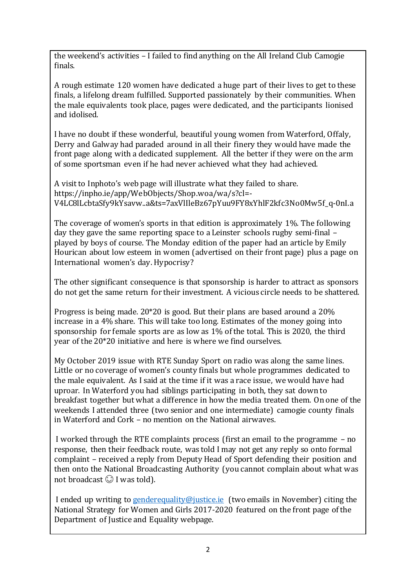the weekend's activities – I failed to find anything on the All Ireland Club Camogie finals.

A rough estimate 120 women have dedicated a huge part of their lives to get to these finals, a lifelong dream fulfilled. Supported passionately by their communities. When the male equivalents took place, pages were dedicated, and the participants lionised and idolised.

I have no doubt if these wonderful, beautiful young women from Waterford, Offaly, Derry and Galway had paraded around in all their finery they would have made the front page along with a dedicated supplement. All the better if they were on the arm of some sportsman even if he had never achieved what they had achieved.

A visit to Inphoto's web page will illustrate what they failed to share. https://inpho.ie/app/WebObjects/Shop.woa/wa/s?cl=- V4LC8lLcbtaSfy9kYsavw..a&ts=7axVlIleBz67pYuu9FY8xYhlF2kfc3No0Mw5f\_q-0nI.a

The coverage of women's sports in that edition is approximately 1%. The following day they gave the same reporting space to a Leinster schools rugby semi-final – played by boys of course. The Monday edition of the paper had an article by Emily Hourican about low esteem in women (advertised on their front page) plus a page on International women's day. Hypocrisy?

The other significant consequence is that sponsorship is harder to attract as sponsors do not get the same return for their investment. A vicious circle needs to be shattered.

Progress is being made. 20\*20 is good. But their plans are based around a 20% increase in a 4% share. This will take too long. Estimates of the money going into sponsorship for female sports are as low as 1% of the total. This is 2020, the third year of the 20\*20 initiative and here is where we find ourselves.

My October 2019 issue with RTE Sunday Sport on radio was along the same lines. Little or no coverage of women's county finals but whole programmes dedicated to the male equivalent. As I said at the time if it was a race issue, we would have had uproar. In Waterford you had siblings participating in both, they sat down to breakfast together but what a difference in how the media treated them. On one of the weekends I attended three (two senior and one intermediate) camogie county finals in Waterford and Cork – no mention on the National airwaves.

I worked through the RTE complaints process (first an email to the programme – no response, then their feedback route, was told I may not get any reply so onto formal complaint – received a reply from Deputy Head of Sport defending their position and then onto the National Broadcasting Authority (you cannot complain about what was not broadcast  $\odot$  I was told).

I ended up writing to [genderequality@justice.ie](mailto:genderequality@justice.ie) (two emails in November) citing the National Strategy for Women and Girls 2017-2020 featured on the front page of the Department of Justice and Equality webpage.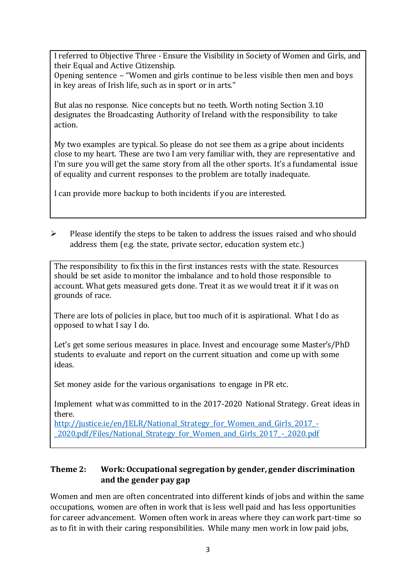I referred to Objective Three - Ensure the Visibility in Society of Women and Girls, and their Equal and Active Citizenship.

Opening sentence – "Women and girls continue to be less visible then men and boys in key areas of Irish life, such as in sport or in arts."

But alas no response. Nice concepts but no teeth. Worth noting Section 3.10 designates the Broadcasting Authority of Ireland with the responsibility to take action.

My two examples are typical. So please do not see them as a gripe about incidents close to my heart. These are two I am very familiar with, they are representative and I'm sure you will get the same story from all the other sports. It's a fundamental issue of equality and current responses to the problem are totally inadequate.

I can provide more backup to both incidents if you are interested.

 $\triangleright$  Please identify the steps to be taken to address the issues raised and who should address them (e.g. the state, private sector, education system etc.)

The responsibility to fix this in the first instances rests with the state. Resources should be set aside to monitor the imbalance and to hold those responsible to account. What gets measured gets done. Treat it as we would treat it if it was on grounds of race.

There are lots of policies in place, but too much of it is aspirational. What I do as opposed to what I say I do.

Let's get some serious measures in place. Invest and encourage some Master's/PhD students to evaluate and report on the current situation and come up with some ideas.

Set money aside for the various organisations to engage in PR etc.

Implement what was committed to in the 2017-2020 National Strategy. Great ideas in there.

http://justice.ie/en/JELR/National Strategy for Women and Girls 2017 -[\\_2020.pdf/Files/National\\_Strategy\\_for\\_Women\\_and\\_Girls\\_2017\\_-\\_2020.pdf](http://justice.ie/en/JELR/National_Strategy_for_Women_and_Girls_2017_-_2020.pdf/Files/National_Strategy_for_Women_and_Girls_2017_-_2020.pdf)

# **Theme 2: Work: Occupational segregation by gender, gender discrimination and the gender pay gap**

Women and men are often concentrated into different kinds of jobs and within the same occupations, women are often in work that is less well paid and has less opportunities for career advancement. Women often work in areas where they can work part-time so as to fit in with their caring responsibilities. While many men work in low paid jobs,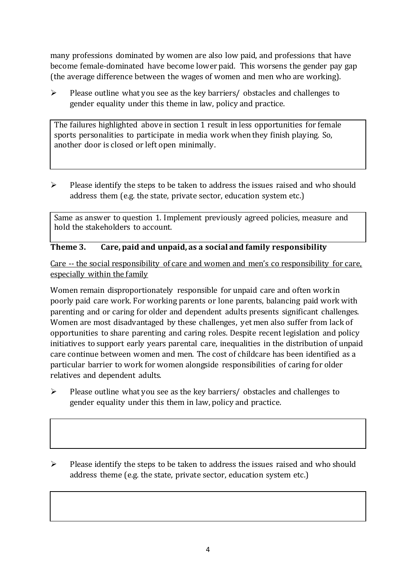many professions dominated by women are also low paid, and professions that have become female-dominated have become lower paid. This worsens the gender pay gap (the average difference between the wages of women and men who are working).

 $\triangleright$  Please outline what you see as the key barriers/ obstacles and challenges to gender equality under this theme in law, policy and practice.

The failures highlighted above in section 1 result in less opportunities for female sports personalities to participate in media work when they finish playing. So, another door is closed or left open minimally.

 $\triangleright$  Please identify the steps to be taken to address the issues raised and who should address them (e.g. the state, private sector, education system etc.)

Same as answer to question 1. Implement previously agreed policies, measure and hold the stakeholders to account.

# **Theme 3. Care, paid and unpaid, as a social and family responsibility**

Care -- the social responsibility of care and women and men's co responsibility for care, especially within the family

Women remain disproportionately responsible for unpaid care and often work in poorly paid care work. For working parents or [lone parents,](https://aran.library.nuigalway.ie/bitstream/handle/10379/6044/Millar_and_Crosse_Activation_Report.pdf?sequence=1&isAllowed=y) balancing paid work with parenting and or caring for older and dependent adults presents significant challenges. Women are [most disadvantaged by these challenges,](https://eige.europa.eu/gender-equality-index/game/IE/W) yet men also suffer from lack of opportunities to share parenting and caring roles. Despite recent legislation and policy initiatives to support early years parental care, [inequalities in the distribution of unpaid](https://www.ihrec.ie/app/uploads/2019/07/Caring-and-Unpaid-Work-in-Ireland_Final.pdf)  [care](https://www.ihrec.ie/app/uploads/2019/07/Caring-and-Unpaid-Work-in-Ireland_Final.pdf) continue between women and men. The cost of childcare has been identified as a particular barrier to work for women alongside responsibilities of caring for older relatives and dependent adults.

- $\triangleright$  Please outline what you see as the key barriers/ obstacles and challenges to gender equality under this them in law, policy and practice.
- $\triangleright$  Please identify the steps to be taken to address the issues raised and who should address theme (e.g. the state, private sector, education system etc.)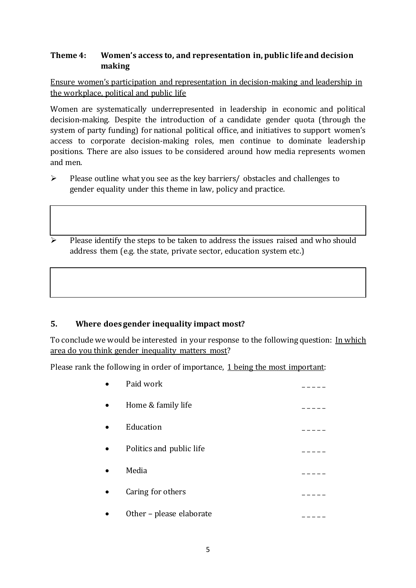## **Theme 4: Women's access to, and representation in, public life and decision making**

## Ensure women's participation and representation in decision-making and leadership in the workplace, political and public life

Women are systematically underrepresented in leadership in [economic](https://eige.europa.eu/gender-equality-index/2019/compare-countries/power/2/bar) and [political](https://eige.europa.eu/gender-equality-index/2019/compare-countries/power/1/bar)  [decision-](https://eige.europa.eu/gender-equality-index/2019/compare-countries/power/1/bar)making. Despite the introduction of a candidate gender quota (through the system of party funding) for national political office, and [initiatives](https://betterbalance.ie/) to support women's access to corporate decision-making roles, men continue to dominate leadership positions. There are also issues to be considered around how media represents women and men.

- $\triangleright$  Please outline what you see as the key barriers/ obstacles and challenges to gender equality under this theme in law, policy and practice.
- $\triangleright$  Please identify the steps to be taken to address the issues raised and who should address them (e.g. the state, private sector, education system etc.)

## **5. Where does gender inequality impact most?**

To conclude we would be interested in your response to the following question: In which area do you think gender inequality matters most?

Please rank the following in order of importance, 1 being the most important:

| Paid work                |  |
|--------------------------|--|
| Home & family life       |  |
| Education                |  |
| Politics and public life |  |
| Media                    |  |
| Caring for others        |  |
| Other – please elaborate |  |